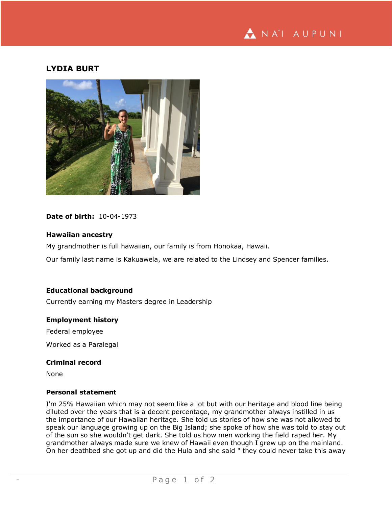

# **LYDIA BURT**



## **Date of birth:** 10-04-1973

## **Hawaiian ancestry**

My grandmother is full hawaiian, our family is from Honokaa, Hawaii.

Our family last name is Kakuawela, we are related to the Lindsey and Spencer families.

## **Educational background**

Currently earning my Masters degree in Leadership

#### **Employment history**

Federal employee

Worked as a Paralegal

## **Criminal record**

None

#### **Personal statement**

I'm 25% Hawaiian which may not seem like a lot but with our heritage and blood line being diluted over the years that is a decent percentage, my grandmother always instilled in us the importance of our Hawaiian heritage. She told us stories of how she was not allowed to speak our language growing up on the Big Island; she spoke of how she was told to stay out of the sun so she wouldn't get dark. She told us how men working the field raped her. My grandmother always made sure we knew of Hawaii even though I grew up on the mainland. On her deathbed she got up and did the Hula and she said " they could never take this away